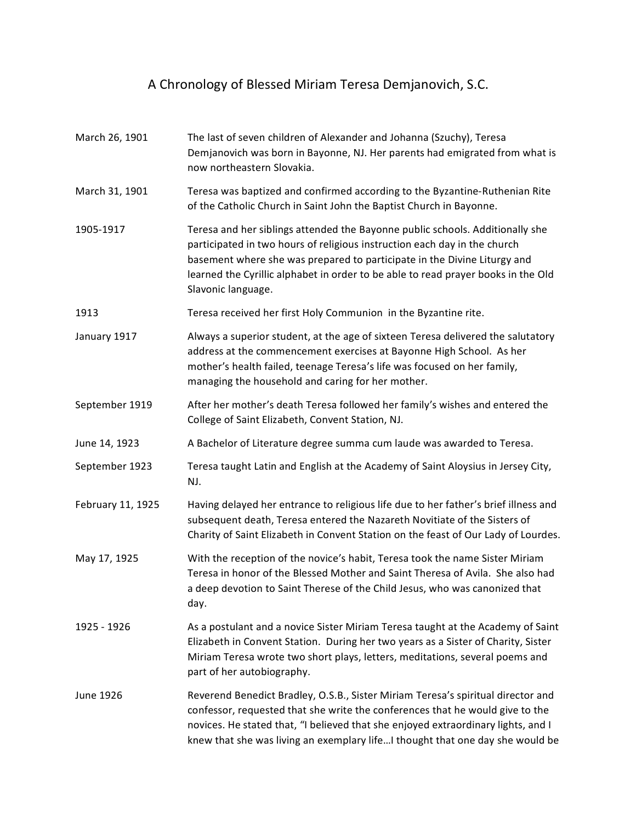## A Chronology of Blessed Miriam Teresa Demjanovich, S.C.

March 26, 1901 The last of seven children of Alexander and Johanna (Szuchy), Teresa Demjanovich was born in Bayonne, NJ. Her parents had emigrated from what is now northeastern Slovakia. March 31, 1901 Teresa was baptized and confirmed according to the Byzantine-Ruthenian Rite of the Catholic Church in Saint John the Baptist Church in Bayonne. 1905-1917 Teresa and her siblings attended the Bayonne public schools. Additionally she participated in two hours of religious instruction each day in the church basement where she was prepared to participate in the Divine Liturgy and learned the Cyrillic alphabet in order to be able to read prayer books in the Old Slavonic language. 1913 **Teresa received her first Holy Communion** in the Byzantine rite. January 1917 Always a superior student, at the age of sixteen Teresa delivered the salutatory address at the commencement exercises at Bayonne High School. As her mother's health failed, teenage Teresa's life was focused on her family, managing the household and caring for her mother. September 1919 After her mother's death Teresa followed her family's wishes and entered the College of Saint Elizabeth, Convent Station, NJ. June 14, 1923 A Bachelor of Literature degree summa cum laude was awarded to Teresa. September 1923 Teresa taught Latin and English at the Academy of Saint Aloysius in Jersey City, NJ. February 11, 1925 Having delayed her entrance to religious life due to her father's brief illness and subsequent death, Teresa entered the Nazareth Novitiate of the Sisters of Charity of Saint Elizabeth in Convent Station on the feast of Our Lady of Lourdes. May 17, 1925 With the reception of the novice's habit, Teresa took the name Sister Miriam Teresa in honor of the Blessed Mother and Saint Theresa of Avila. She also had a deep devotion to Saint Therese of the Child Jesus, who was canonized that day. 1925 - 1926 As a postulant and a novice Sister Miriam Teresa taught at the Academy of Saint Elizabeth in Convent Station. During her two years as a Sister of Charity, Sister Miriam Teresa wrote two short plays, letters, meditations, several poems and part of her autobiography. June 1926 Reverend Benedict Bradley, O.S.B., Sister Miriam Teresa's spiritual director and confessor, requested that she write the conferences that he would give to the novices. He stated that, "I believed that she enjoyed extraordinary lights, and I knew that she was living an exemplary life…I thought that one day she would be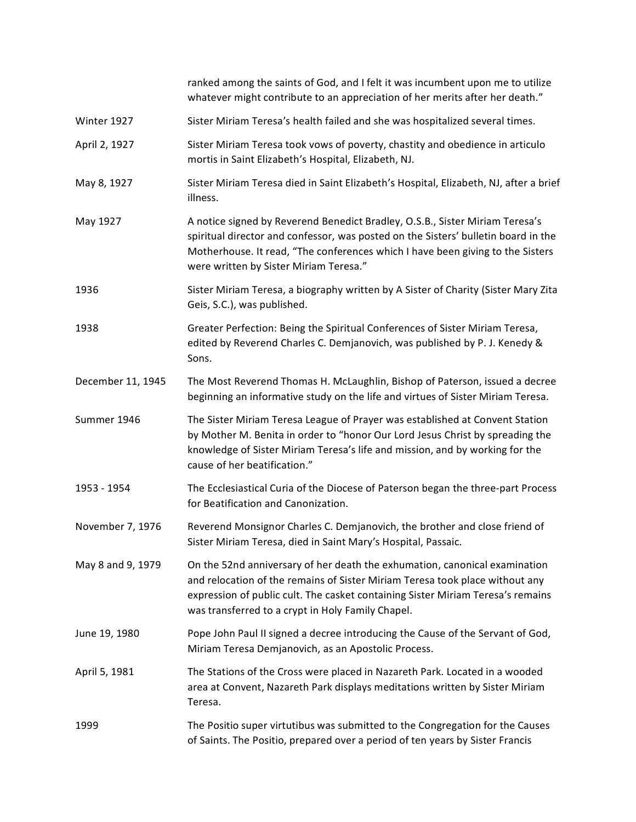ranked among the saints of God, and I felt it was incumbent upon me to utilize whatever might contribute to an appreciation of her merits after her death." Winter 1927 Sister Miriam Teresa's health failed and she was hospitalized several times. April 2, 1927 Sister Miriam Teresa took vows of poverty, chastity and obedience in articulo mortis in Saint Elizabeth's Hospital, Elizabeth, NJ. May 8, 1927 Sister Miriam Teresa died in Saint Elizabeth's Hospital, Elizabeth, NJ, after a brief illness. May 1927 A notice signed by Reverend Benedict Bradley, O.S.B., Sister Miriam Teresa's spiritual director and confessor, was posted on the Sisters' bulletin board in the Motherhouse. It read, "The conferences which I have been giving to the Sisters were written by Sister Miriam Teresa." 1936 Sister Miriam Teresa, a biography written by A Sister of Charity (Sister Mary Zita Geis, S.C.), was published. 1938 Greater Perfection: Being the Spiritual Conferences of Sister Miriam Teresa, edited by Reverend Charles C. Demjanovich, was published by P. J. Kenedy & Sons. December 11, 1945 The Most Reverend Thomas H. McLaughlin, Bishop of Paterson, issued a decree beginning an informative study on the life and virtues of Sister Miriam Teresa. Summer 1946 The Sister Miriam Teresa League of Prayer was established at Convent Station by Mother M. Benita in order to "honor Our Lord Jesus Christ by spreading the knowledge of Sister Miriam Teresa's life and mission, and by working for the cause of her beatification." 1953 - 1954 The Ecclesiastical Curia of the Diocese of Paterson began the three-part Process for Beatification and Canonization. November 7, 1976 Reverend Monsignor Charles C. Demjanovich, the brother and close friend of Sister Miriam Teresa, died in Saint Mary's Hospital, Passaic. May 8 and 9, 1979 On the 52nd anniversary of her death the exhumation, canonical examination and relocation of the remains of Sister Miriam Teresa took place without any expression of public cult. The casket containing Sister Miriam Teresa's remains was transferred to a crypt in Holy Family Chapel. June 19, 1980 Pope John Paul II signed a decree introducing the Cause of the Servant of God, Miriam Teresa Demjanovich, as an Apostolic Process. April 5, 1981 The Stations of the Cross were placed in Nazareth Park. Located in a wooded area at Convent, Nazareth Park displays meditations written by Sister Miriam Teresa. 1999 The Positio super virtutibus was submitted to the Congregation for the Causes of Saints. The Positio, prepared over a period of ten years by Sister Francis